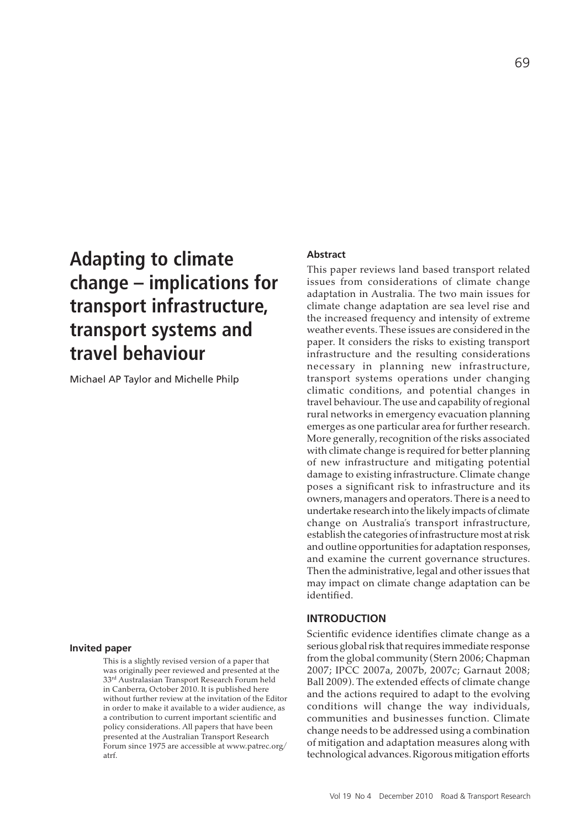Michael AP Taylor and Michelle Philp

#### **Invited paper**

This is a slightly revised version of a paper that was originally peer reviewed and presented at the 33rd Australasian Transport Research Forum held in Canberra, October 2010. It is published here without further review at the invitation of the Editor in order to make it available to a wider audience, as a contribution to current important scientific and policy considerations. All papers that have been presented at the Australian Transport Research Forum since 1975 are accessible at www.patrec.org/ atrf.

### **Abstract**

This paper reviews land based transport related issues from considerations of climate change adaptation in Australia. The two main issues for climate change adaptation are sea level rise and the increased frequency and intensity of extreme weather events. These issues are considered in the paper. It considers the risks to existing transport infrastructure and the resulting considerations necessary in planning new infrastructure, transport systems operations under changing climatic conditions, and potential changes in travel behaviour. The use and capability of regional rural networks in emergency evacuation planning emerges as one particular area for further research. More generally, recognition of the risks associated with climate change is required for better planning of new infrastructure and mitigating potential damage to existing infrastructure. Climate change poses a significant risk to infrastructure and its owners, managers and operators. There is a need to undertake research into the likely impacts of climate change on Australia's transport infrastructure, establish the categories of infrastructure most at risk and outline opportunities for adaptation responses, and examine the current governance structures. Then the administrative, legal and other issues that may impact on climate change adaptation can be identified.

#### **INTRODUCTION**

Scientific evidence identifies climate change as a serious global risk that requires immediate response from the global community (Stern 2006; Chapman 2007; IPCC 2007a, 2007b, 2007c; Garnaut 2008; Ball 2009). The extended effects of climate change and the actions required to adapt to the evolving conditions will change the way individuals, communities and businesses function. Climate change needs to be addressed using a combination of mitigation and adaptation measures along with technological advances. Rigorous mitigation efforts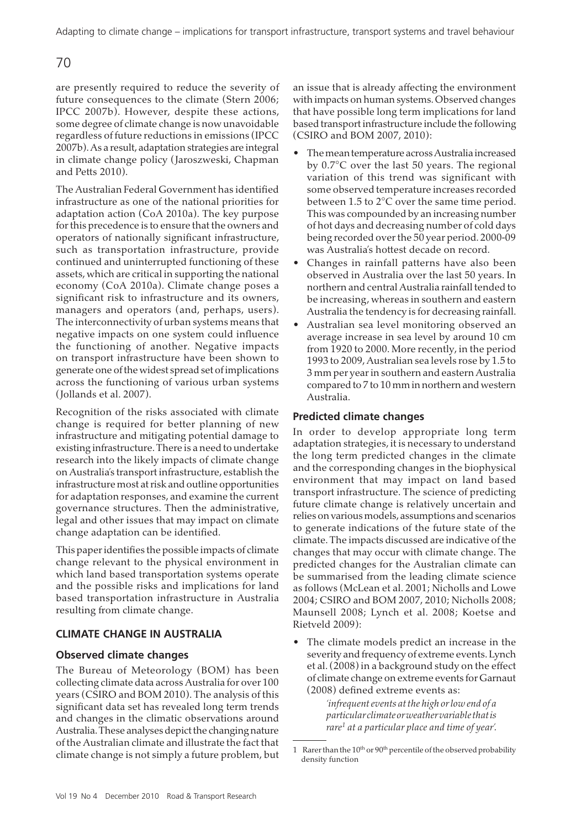are presently required to reduce the severity of future consequences to the climate (Stern 2006; IPCC 2007b). However, despite these actions, some degree of climate change is now unavoidable regardless of future reductions in emissions (IPCC 2007b). As a result, adaptation strategies are integral in climate change policy (Jaroszweski, Chapman and Petts 2010).

The Australian Federal Government has identified infrastructure as one of the national priorities for adaptation action (CoA 2010a). The key purpose for this precedence is to ensure that the owners and operators of nationally significant infrastructure, such as transportation infrastructure, provide continued and uninterrupted functioning of these assets, which are critical in supporting the national economy (CoA 2010a). Climate change poses a significant risk to infrastructure and its owners, managers and operators (and, perhaps, users). The interconnectivity of urban systems means that negative impacts on one system could influence the functioning of another. Negative impacts on transport infrastructure have been shown to generate one of the widest spread set of implications across the functioning of various urban systems (Jollands et al. 2007).

Recognition of the risks associated with climate change is required for better planning of new infrastructure and mitigating potential damage to existing infrastructure. There is a need to undertake research into the likely impacts of climate change on Australia's transport infrastructure, establish the infrastructure most at risk and outline opportunities for adaptation responses, and examine the current governance structures. Then the administrative, legal and other issues that may impact on climate change adaptation can be identified.

This paper identifies the possible impacts of climate change relevant to the physical environment in which land based transportation systems operate and the possible risks and implications for land based transportation infrastructure in Australia resulting from climate change.

# **CLIMATE CHANGE IN AUSTRALIA**

# **Observed climate changes**

The Bureau of Meteorology (BOM) has been collecting climate data across Australia for over 100 years (CSIRO and BOM 2010). The analysis of this significant data set has revealed long term trends and changes in the climatic observations around Australia. These analyses depict the changing nature of the Australian climate and illustrate the fact that climate change is not simply a future problem, but an issue that is already affecting the environment with impacts on human systems. Observed changes that have possible long term implications for land based transport infrastructure include the following (CSIRO and BOM 2007, 2010):

- The mean temperature across Australia increased by 0.7°C over the last 50 years. The regional variation of this trend was significant with some observed temperature increases recorded between 1.5 to 2°C over the same time period. This was compounded by an increasing number of hot days and decreasing number of cold days being recorded over the 50 year period. 2000-09 was Australia's hottest decade on record.
- Changes in rainfall patterns have also been observed in Australia over the last 50 years. In northern and central Australia rainfall tended to be increasing, whereas in southern and eastern Australia the tendency is for decreasing rainfall.
- Australian sea level monitoring observed an average increase in sea level by around 10 cm from 1920 to 2000. More recently, in the period 1993 to 2009, Australian sea levels rose by 1.5 to 3 mm per year in southern and eastern Australia compared to 7 to 10 mm in northern and western Australia.

# **Predicted climate changes**

In order to develop appropriate long term adaptation strategies, it is necessary to understand the long term predicted changes in the climate and the corresponding changes in the biophysical environment that may impact on land based transport infrastructure. The science of predicting future climate change is relatively uncertain and relies on various models, assumptions and scenarios to generate indications of the future state of the climate. The impacts discussed are indicative of the changes that may occur with climate change. The predicted changes for the Australian climate can be summarised from the leading climate science as follows (McLean et al. 2001; Nicholls and Lowe 2004; CSIRO and BOM 2007, 2010; Nicholls 2008; Maunsell 2008; Lynch et al. 2008; Koetse and Rietveld 2009):

• The climate models predict an increase in the severity and frequency of extreme events. Lynch et al. (2008) in a background study on the effect of climate change on extreme events for Garnaut (2008) defined extreme events as:

> *'infrequent events at the high or low end of a particular climate or weather variable that is rare1 at a particular place and time of year'.*

<sup>1</sup> Rarer than the  $10^{th}$  or  $90^{th}$  percentile of the observed probability density function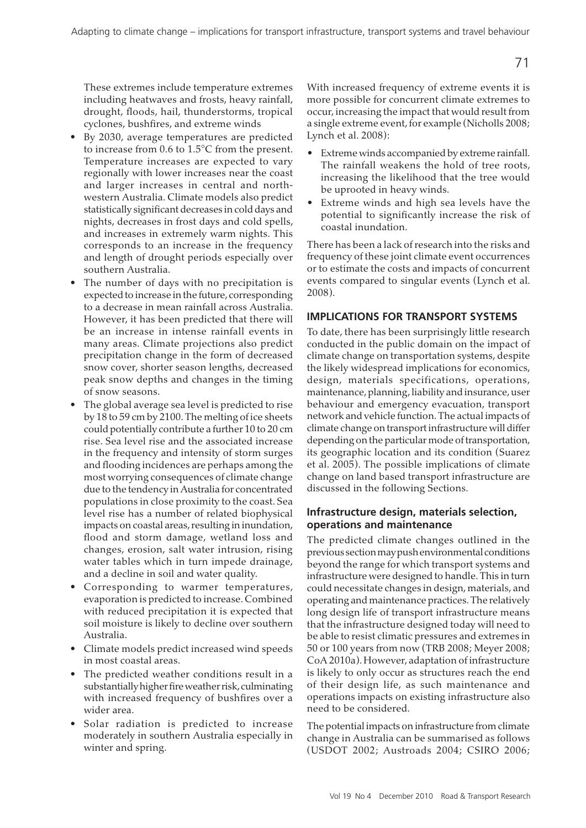These extremes include temperature extremes including heatwaves and frosts, heavy rainfall, drought, floods, hail, thunderstorms, tropical cyclones, bushfires, and extreme winds

- By 2030, average temperatures are predicted to increase from 0.6 to 1.5°C from the present. Temperature increases are expected to vary regionally with lower increases near the coast and larger increases in central and northwestern Australia. Climate models also predict statistically significant decreases in cold days and nights, decreases in frost days and cold spells, and increases in extremely warm nights. This corresponds to an increase in the frequency and length of drought periods especially over southern Australia.
- The number of days with no precipitation is expected to increase in the future, corresponding to a decrease in mean rainfall across Australia. However, it has been predicted that there will be an increase in intense rainfall events in many areas. Climate projections also predict precipitation change in the form of decreased snow cover, shorter season lengths, decreased peak snow depths and changes in the timing of snow seasons.
- The global average sea level is predicted to rise by 18 to 59 cm by 2100. The melting of ice sheets could potentially contribute a further 10 to 20 cm rise. Sea level rise and the associated increase in the frequency and intensity of storm surges and flooding incidences are perhaps among the most worrying consequences of climate change due to the tendency in Australia for concentrated populations in close proximity to the coast. Sea level rise has a number of related biophysical impacts on coastal areas, resulting in inundation, flood and storm damage, wetland loss and changes, erosion, salt water intrusion, rising water tables which in turn impede drainage, and a decline in soil and water quality.
- Corresponding to warmer temperatures, evaporation is predicted to increase. Combined with reduced precipitation it is expected that soil moisture is likely to decline over southern Australia.
- Climate models predict increased wind speeds in most coastal areas.
- The predicted weather conditions result in a substantially higher fire weather risk, culminating with increased frequency of bushfires over a wider area.
- Solar radiation is predicted to increase moderately in southern Australia especially in winter and spring.

With increased frequency of extreme events it is more possible for concurrent climate extremes to occur, increasing the impact that would result from a single extreme event, for example (Nicholls 2008; Lynch et al. 2008):

71

- Extreme winds accompanied by extreme rainfall. The rainfall weakens the hold of tree roots, increasing the likelihood that the tree would be uprooted in heavy winds.
- Extreme winds and high sea levels have the potential to significantly increase the risk of coastal inundation.

There has been a lack of research into the risks and frequency of these joint climate event occurrences or to estimate the costs and impacts of concurrent events compared to singular events (Lynch et al. 2008).

#### **IMPLICATIONS FOR TRANSPORT SYSTEMS**

To date, there has been surprisingly little research conducted in the public domain on the impact of climate change on transportation systems, despite the likely widespread implications for economics, design, materials specifications, operations, maintenance, planning, liability and insurance, user behaviour and emergency evacuation, transport network and vehicle function. The actual impacts of climate change on transport infrastructure will differ depending on the particular mode of transportation, its geographic location and its condition (Suarez et al. 2005). The possible implications of climate change on land based transport infrastructure are discussed in the following Sections.

# **Infrastructure design, materials selection, operations and maintenance**

The predicted climate changes outlined in the previous section may push environmental conditions beyond the range for which transport systems and infrastructure were designed to handle. This in turn could necessitate changes in design, materials, and operating and maintenance practices. The relatively long design life of transport infrastructure means that the infrastructure designed today will need to be able to resist climatic pressures and extremes in 50 or 100 years from now (TRB 2008; Meyer 2008; CoA 2010a). However, adaptation of infrastructure is likely to only occur as structures reach the end of their design life, as such maintenance and operations impacts on existing infrastructure also need to be considered.

The potential impacts on infrastructure from climate change in Australia can be summarised as follows (USDOT 2002; Austroads 2004; CSIRO 2006;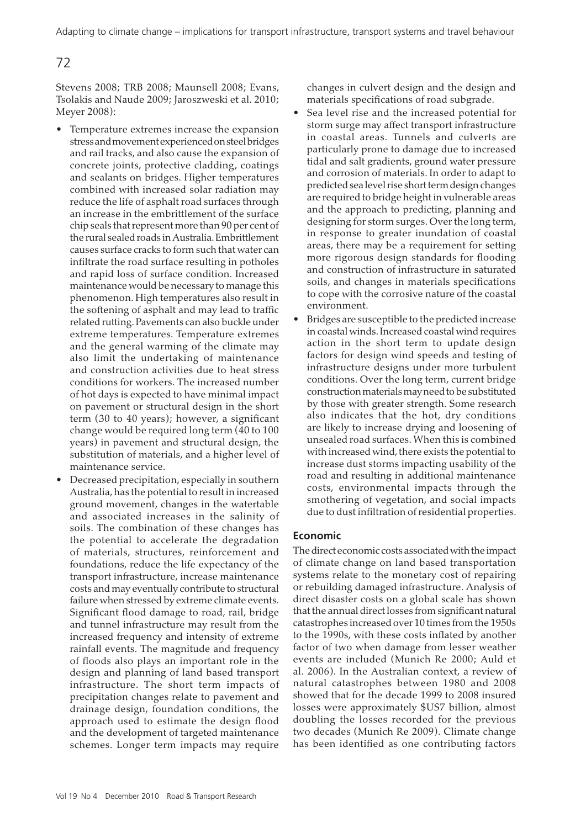Stevens 2008; TRB 2008; Maunsell 2008; Evans, Tsolakis and Naude 2009; Jaroszweski et al. 2010; Meyer 2008):

- Temperature extremes increase the expansion stress and movement experienced on steel bridges and rail tracks, and also cause the expansion of concrete joints, protective cladding, coatings and sealants on bridges. Higher temperatures combined with increased solar radiation may reduce the life of asphalt road surfaces through an increase in the embrittlement of the surface chip seals that represent more than 90 per cent of the rural sealed roads in Australia. Embrittlement causes surface cracks to form such that water can infiltrate the road surface resulting in potholes and rapid loss of surface condition. Increased maintenance would be necessary to manage this phenomenon. High temperatures also result in the softening of asphalt and may lead to traffic related rutting. Pavements can also buckle under extreme temperatures. Temperature extremes and the general warming of the climate may also limit the undertaking of maintenance and construction activities due to heat stress conditions for workers. The increased number of hot days is expected to have minimal impact on pavement or structural design in the short term (30 to 40 years); however, a significant change would be required long term (40 to 100 years) in pavement and structural design, the substitution of materials, and a higher level of maintenance service.
- Decreased precipitation, especially in southern Australia, has the potential to result in increased ground movement, changes in the watertable and associated increases in the salinity of soils. The combination of these changes has the potential to accelerate the degradation of materials, structures, reinforcement and foundations, reduce the life expectancy of the transport infrastructure, increase maintenance costs and may eventually contribute to structural failure when stressed by extreme climate events. Significant flood damage to road, rail, bridge and tunnel infrastructure may result from the increased frequency and intensity of extreme rainfall events. The magnitude and frequency of floods also plays an important role in the design and planning of land based transport infrastructure. The short term impacts of precipitation changes relate to pavement and drainage design, foundation conditions, the approach used to estimate the design flood and the development of targeted maintenance schemes. Longer term impacts may require

changes in culvert design and the design and materials specifications of road subgrade.

- Sea level rise and the increased potential for storm surge may affect transport infrastructure in coastal areas. Tunnels and culverts are particularly prone to damage due to increased tidal and salt gradients, ground water pressure and corrosion of materials. In order to adapt to predicted sea level rise short term design changes are required to bridge height in vulnerable areas and the approach to predicting, planning and designing for storm surges. Over the long term, in response to greater inundation of coastal areas, there may be a requirement for setting more rigorous design standards for flooding and construction of infrastructure in saturated soils, and changes in materials specifications to cope with the corrosive nature of the coastal environment.
- Bridges are susceptible to the predicted increase in coastal winds. Increased coastal wind requires action in the short term to update design factors for design wind speeds and testing of infrastructure designs under more turbulent conditions. Over the long term, current bridge construction materials may need to be substituted by those with greater strength. Some research also indicates that the hot, dry conditions are likely to increase drying and loosening of unsealed road surfaces. When this is combined with increased wind, there exists the potential to increase dust storms impacting usability of the road and resulting in additional maintenance costs, environmental impacts through the smothering of vegetation, and social impacts due to dust infiltration of residential properties.

# **Economic**

The direct economic costs associated with the impact of climate change on land based transportation systems relate to the monetary cost of repairing or rebuilding damaged infrastructure. Analysis of direct disaster costs on a global scale has shown that the annual direct losses from significant natural catastrophes increased over 10 times from the 1950s to the 1990s, with these costs inflated by another factor of two when damage from lesser weather events are included (Munich Re 2000; Auld et al. 2006). In the Australian context, a review of natural catastrophes between 1980 and 2008 showed that for the decade 1999 to 2008 insured losses were approximately \$US7 billion, almost doubling the losses recorded for the previous two decades (Munich Re 2009). Climate change has been identified as one contributing factors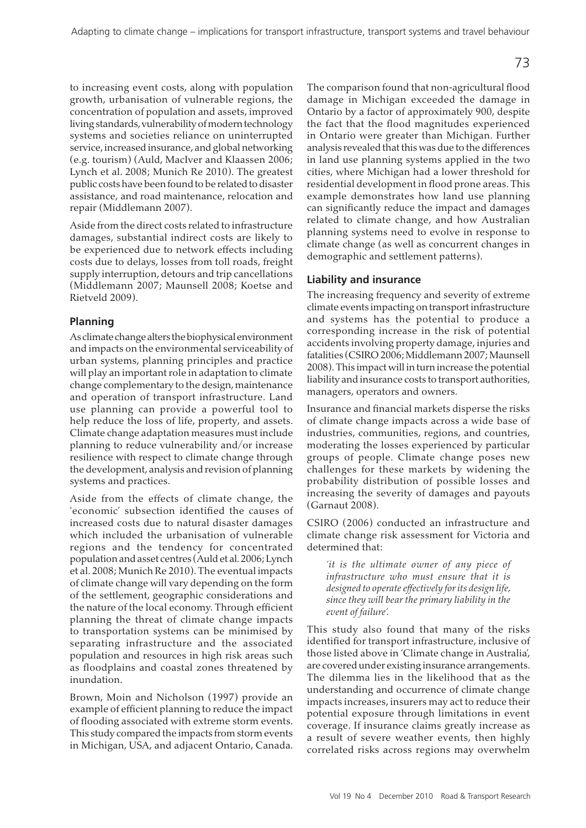to increasing event costs, along with population growth, urbanisation of vulnerable regions, the concentration of population and assets, improved living standards, vulnerability of modern technology systems and societies reliance on uninterrupted service, increased insurance, and global networking (e.g. tourism) (Auld, MacIver and Klaassen 2006; Lynch et al. 2008; Munich Re 2010). The greatest public costs have been found to be related to disaster assistance, and road maintenance, relocation and repair (Middlemann 2007).

Aside from the direct costs related to infrastructure damages, substantial indirect costs are likely to be experienced due to network effects including costs due to delays, losses from toll roads, freight supply interruption, detours and trip cancellations (Middlemann 2007; Maunsell 2008; Koetse and Rietveld 2009).

# **Planning**

As climate change alters the biophysical environment and impacts on the environmental serviceability of urban systems, planning principles and practice will play an important role in adaptation to climate change complementary to the design, maintenance and operation of transport infrastructure. Land use planning can provide a powerful tool to help reduce the loss of life, property, and assets. Climate change adaptation measures must include planning to reduce vulnerability and/or increase resilience with respect to climate change through the development, analysis and revision of planning systems and practices.

Aside from the effects of climate change, the 'economic' subsection identified the causes of increased costs due to natural disaster damages which included the urbanisation of vulnerable regions and the tendency for concentrated population and asset centres (Auld et al. 2006; Lynch et al. 2008; Munich Re 2010). The eventual impacts of climate change will vary depending on the form of the settlement, geographic considerations and the nature of the local economy. Through efficient planning the threat of climate change impacts to transportation systems can be minimised by separating infrastructure and the associated population and resources in high risk areas such as floodplains and coastal zones threatened by inundation.

Brown, Moin and Nicholson (1997) provide an example of efficient planning to reduce the impact of flooding associated with extreme storm events. This study compared the impacts from storm events in Michigan, USA, and adjacent Ontario, Canada.

The comparison found that non-agricultural flood damage in Michigan exceeded the damage in Ontario by a factor of approximately 900, despite the fact that the flood magnitudes experienced in Ontario were greater than Michigan. Further analysis revealed that this was due to the differences in land use planning systems applied in the two cities, where Michigan had a lower threshold for residential development in flood prone areas. This example demonstrates how land use planning can significantly reduce the impact and damages related to climate change, and how Australian planning systems need to evolve in response to climate change (as well as concurrent changes in demographic and settlement patterns).

# **Liability and insurance**

The increasing frequency and severity of extreme climate events impacting on transport infrastructure and systems has the potential to produce a corresponding increase in the risk of potential accidents involving property damage, injuries and fatalities (CSIRO 2006; Middlemann 2007; Maunsell 2008). This impact will in turn increase the potential liability and insurance costs to transport authorities, managers, operators and owners.

Insurance and financial markets disperse the risks of climate change impacts across a wide base of industries, communities, regions, and countries, moderating the losses experienced by particular groups of people. Climate change poses new challenges for these markets by widening the probability distribution of possible losses and increasing the severity of damages and payouts (Garnaut 2008).

CSIRO (2006) conducted an infrastructure and climate change risk assessment for Victoria and determined that:

*'it is the ultimate owner of any piece of infrastructure who must ensure that it is designed to operate effectively for its design life, since they will bear the primary liability in the event of failure'.*

This study also found that many of the risks identified for transport infrastructure, inclusive of those listed above in 'Climate change in Australia', are covered under existing insurance arrangements. The dilemma lies in the likelihood that as the understanding and occurrence of climate change impacts increases, insurers may act to reduce their potential exposure through limitations in event coverage. If insurance claims greatly increase as a result of severe weather events, then highly correlated risks across regions may overwhelm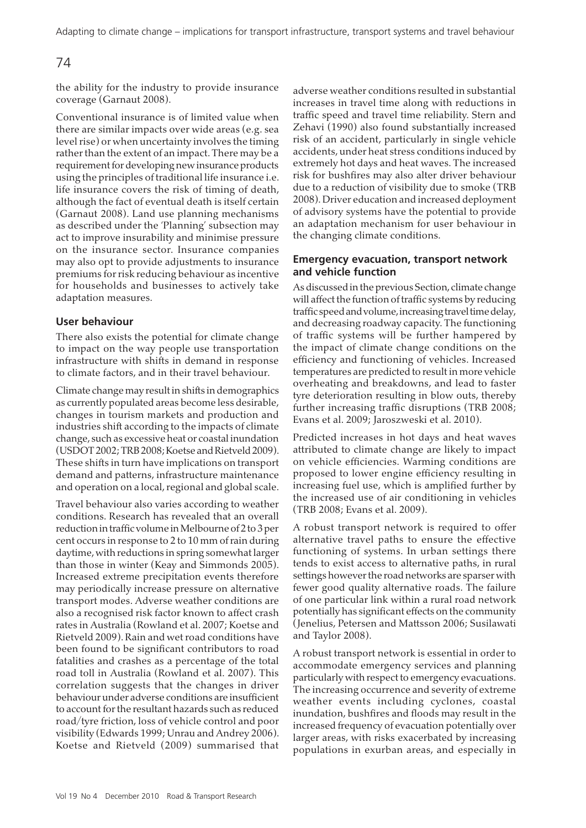# 74

the ability for the industry to provide insurance coverage (Garnaut 2008).

Conventional insurance is of limited value when there are similar impacts over wide areas (e.g. sea level rise) or when uncertainty involves the timing rather than the extent of an impact. There may be a requirement for developing new insurance products using the principles of traditional life insurance i.e. life insurance covers the risk of timing of death, although the fact of eventual death is itself certain (Garnaut 2008). Land use planning mechanisms as described under the 'Planning' subsection may act to improve insurability and minimise pressure on the insurance sector. Insurance companies may also opt to provide adjustments to insurance premiums for risk reducing behaviour as incentive for households and businesses to actively take adaptation measures.

# **User behaviour**

There also exists the potential for climate change to impact on the way people use transportation infrastructure with shifts in demand in response to climate factors, and in their travel behaviour.

Climate change may result in shifts in demographics as currently populated areas become less desirable, changes in tourism markets and production and industries shift according to the impacts of climate change, such as excessive heat or coastal inundation (USDOT 2002; TRB 2008; Koetse and Rietveld 2009). These shifts in turn have implications on transport demand and patterns, infrastructure maintenance and operation on a local, regional and global scale.

Travel behaviour also varies according to weather conditions. Research has revealed that an overall reduction in traffic volume in Melbourne of 2 to 3 per cent occurs in response to 2 to 10 mm of rain during daytime, with reductions in spring somewhat larger than those in winter (Keay and Simmonds 2005). Increased extreme precipitation events therefore may periodically increase pressure on alternative transport modes. Adverse weather conditions are also a recognised risk factor known to affect crash rates in Australia (Rowland et al. 2007; Koetse and Rietveld 2009). Rain and wet road conditions have been found to be significant contributors to road fatalities and crashes as a percentage of the total road toll in Australia (Rowland et al. 2007). This correlation suggests that the changes in driver behaviour under adverse conditions are insufficient to account for the resultant hazards such as reduced road/tyre friction, loss of vehicle control and poor visibility (Edwards 1999; Unrau and Andrey 2006). Koetse and Rietveld (2009) summarised that

adverse weather conditions resulted in substantial increases in travel time along with reductions in traffic speed and travel time reliability. Stern and Zehavi (1990) also found substantially increased risk of an accident, particularly in single vehicle accidents, under heat stress conditions induced by extremely hot days and heat waves. The increased risk for bushfires may also alter driver behaviour due to a reduction of visibility due to smoke (TRB 2008). Driver education and increased deployment of advisory systems have the potential to provide an adaptation mechanism for user behaviour in the changing climate conditions.

# **Emergency evacuation, transport network and vehicle function**

As discussed in the previous Section, climate change will affect the function of traffic systems by reducing traffic speed and volume, increasing travel time delay, and decreasing roadway capacity. The functioning of traffic systems will be further hampered by the impact of climate change conditions on the efficiency and functioning of vehicles. Increased temperatures are predicted to result in more vehicle overheating and breakdowns, and lead to faster tyre deterioration resulting in blow outs, thereby further increasing traffic disruptions (TRB 2008; Evans et al. 2009; Jaroszweski et al. 2010).

Predicted increases in hot days and heat waves attributed to climate change are likely to impact on vehicle efficiencies. Warming conditions are proposed to lower engine efficiency resulting in increasing fuel use, which is amplified further by the increased use of air conditioning in vehicles (TRB 2008; Evans et al. 2009).

A robust transport network is required to offer alternative travel paths to ensure the effective functioning of systems. In urban settings there tends to exist access to alternative paths, in rural settings however the road networks are sparser with fewer good quality alternative roads. The failure of one particular link within a rural road network potentially has significant effects on the community (Jenelius, Petersen and Mattsson 2006; Susilawati and Taylor 2008).

A robust transport network is essential in order to accommodate emergency services and planning particularly with respect to emergency evacuations. The increasing occurrence and severity of extreme weather events including cyclones, coastal inundation, bushfires and floods may result in the increased frequency of evacuation potentially over larger areas, with risks exacerbated by increasing populations in exurban areas, and especially in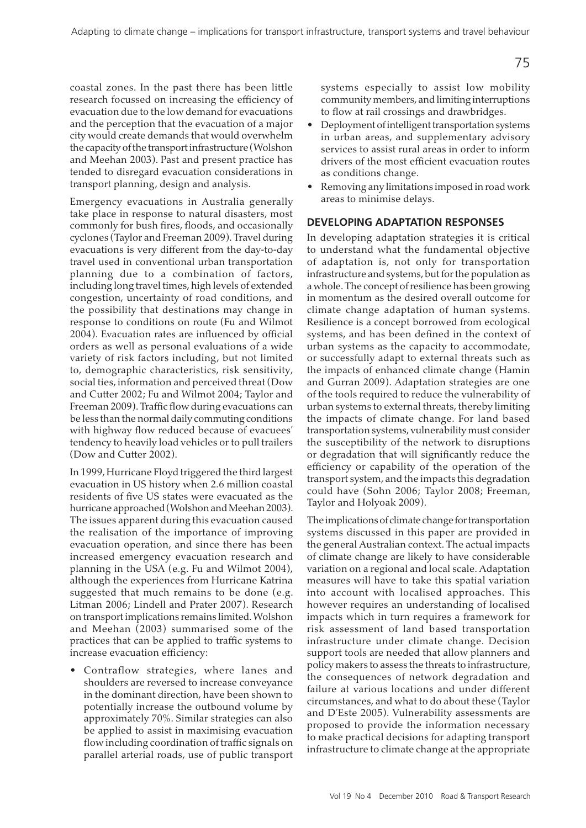coastal zones. In the past there has been little research focussed on increasing the efficiency of evacuation due to the low demand for evacuations and the perception that the evacuation of a major city would create demands that would overwhelm the capacity of the transport infrastructure (Wolshon and Meehan 2003). Past and present practice has tended to disregard evacuation considerations in transport planning, design and analysis.

Emergency evacuations in Australia generally take place in response to natural disasters, most commonly for bush fires, floods, and occasionally cyclones (Taylor and Freeman 2009). Travel during evacuations is very different from the day-to-day travel used in conventional urban transportation planning due to a combination of factors, including long travel times, high levels of extended congestion, uncertainty of road conditions, and the possibility that destinations may change in response to conditions on route (Fu and Wilmot 2004). Evacuation rates are influenced by official orders as well as personal evaluations of a wide variety of risk factors including, but not limited to, demographic characteristics, risk sensitivity, social ties, information and perceived threat (Dow and Cutter 2002; Fu and Wilmot 2004; Taylor and Freeman 2009). Traffic flow during evacuations can be less than the normal daily commuting conditions with highway flow reduced because of evacuees' tendency to heavily load vehicles or to pull trailers (Dow and Cutter 2002).

In 1999, Hurricane Floyd triggered the third largest evacuation in US history when 2.6 million coastal residents of five US states were evacuated as the hurricane approached (Wolshon and Meehan 2003). The issues apparent during this evacuation caused the realisation of the importance of improving evacuation operation, and since there has been increased emergency evacuation research and planning in the USA (e.g. Fu and Wilmot 2004), although the experiences from Hurricane Katrina suggested that much remains to be done (e.g. Litman 2006; Lindell and Prater 2007). Research on transport implications remains limited. Wolshon and Meehan (2003) summarised some of the practices that can be applied to traffic systems to increase evacuation efficiency:

• Contraflow strategies, where lanes and shoulders are reversed to increase conveyance in the dominant direction, have been shown to potentially increase the outbound volume by approximately 70%. Similar strategies can also be applied to assist in maximising evacuation flow including coordination of traffic signals on parallel arterial roads, use of public transport

systems especially to assist low mobility community members, and limiting interruptions to flow at rail crossings and drawbridges.

75

- Deployment of intelligent transportation systems in urban areas, and supplementary advisory services to assist rural areas in order to inform drivers of the most efficient evacuation routes as conditions change.
- Removing any limitations imposed in road work areas to minimise delays.

# **DEVELOPING ADAPTATION RESPONSES**

In developing adaptation strategies it is critical to understand what the fundamental objective of adaptation is, not only for transportation infrastructure and systems, but for the population as a whole. The concept of resilience has been growing in momentum as the desired overall outcome for climate change adaptation of human systems. Resilience is a concept borrowed from ecological systems, and has been defined in the context of urban systems as the capacity to accommodate, or successfully adapt to external threats such as the impacts of enhanced climate change (Hamin and Gurran 2009). Adaptation strategies are one of the tools required to reduce the vulnerability of urban systems to external threats, thereby limiting the impacts of climate change. For land based transportation systems, vulnerability must consider the susceptibility of the network to disruptions or degradation that will significantly reduce the efficiency or capability of the operation of the transport system, and the impacts this degradation could have (Sohn 2006; Taylor 2008; Freeman, Taylor and Holyoak 2009).

The implications of climate change for transportation systems discussed in this paper are provided in the general Australian context. The actual impacts of climate change are likely to have considerable variation on a regional and local scale. Adaptation measures will have to take this spatial variation into account with localised approaches. This however requires an understanding of localised impacts which in turn requires a framework for risk assessment of land based transportation infrastructure under climate change. Decision support tools are needed that allow planners and policy makers to assess the threats to infrastructure, the consequences of network degradation and failure at various locations and under different circumstances, and what to do about these (Taylor and D'Este 2005). Vulnerability assessments are proposed to provide the information necessary to make practical decisions for adapting transport infrastructure to climate change at the appropriate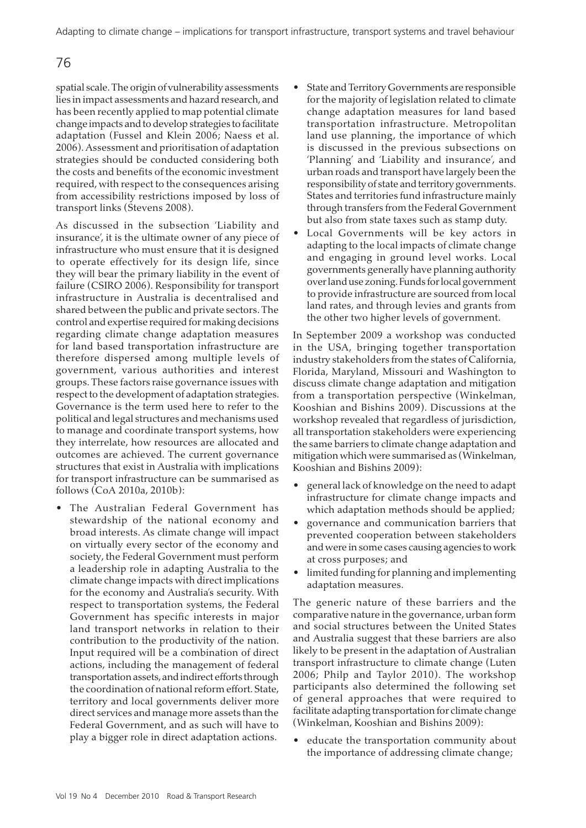spatial scale. The origin of vulnerability assessments lies in impact assessments and hazard research, and has been recently applied to map potential climate change impacts and to develop strategies to facilitate adaptation (Fussel and Klein 2006; Naess et al. 2006). Assessment and prioritisation of adaptation strategies should be conducted considering both the costs and benefits of the economic investment required, with respect to the consequences arising from accessibility restrictions imposed by loss of transport links (Stevens 2008).

As discussed in the subsection 'Liability and insurance', it is the ultimate owner of any piece of infrastructure who must ensure that it is designed to operate effectively for its design life, since they will bear the primary liability in the event of failure (CSIRO 2006). Responsibility for transport infrastructure in Australia is decentralised and shared between the public and private sectors. The control and expertise required for making decisions regarding climate change adaptation measures for land based transportation infrastructure are therefore dispersed among multiple levels of government, various authorities and interest groups. These factors raise governance issues with respect to the development of adaptation strategies. Governance is the term used here to refer to the political and legal structures and mechanisms used to manage and coordinate transport systems, how they interrelate, how resources are allocated and outcomes are achieved. The current governance structures that exist in Australia with implications for transport infrastructure can be summarised as follows (CoA 2010a, 2010b):

• The Australian Federal Government has stewardship of the national economy and broad interests. As climate change will impact on virtually every sector of the economy and society, the Federal Government must perform a leadership role in adapting Australia to the climate change impacts with direct implications for the economy and Australia's security. With respect to transportation systems, the Federal Government has specific interests in major land transport networks in relation to their contribution to the productivity of the nation. Input required will be a combination of direct actions, including the management of federal transportation assets, and indirect efforts through the coordination of national reform effort. State, territory and local governments deliver more direct services and manage more assets than the Federal Government, and as such will have to play a bigger role in direct adaptation actions.

- State and Territory Governments are responsible for the majority of legislation related to climate change adaptation measures for land based transportation infrastructure. Metropolitan land use planning, the importance of which is discussed in the previous subsections on 'Planning' and 'Liability and insurance', and urban roads and transport have largely been the responsibility of state and territory governments. States and territories fund infrastructure mainly through transfers from the Federal Government but also from state taxes such as stamp duty.
- Local Governments will be key actors in adapting to the local impacts of climate change and engaging in ground level works. Local governments generally have planning authority over land use zoning. Funds for local government to provide infrastructure are sourced from local land rates, and through levies and grants from the other two higher levels of government.

In September 2009 a workshop was conducted in the USA, bringing together transportation industry stakeholders from the states of California, Florida, Maryland, Missouri and Washington to discuss climate change adaptation and mitigation from a transportation perspective (Winkelman, Kooshian and Bishins 2009). Discussions at the workshop revealed that regardless of jurisdiction, all transportation stakeholders were experiencing the same barriers to climate change adaptation and mitigation which were summarised as (Winkelman, Kooshian and Bishins 2009):

- general lack of knowledge on the need to adapt infrastructure for climate change impacts and which adaptation methods should be applied;
- governance and communication barriers that prevented cooperation between stakeholders and were in some cases causing agencies to work at cross purposes; and
- limited funding for planning and implementing adaptation measures.

The generic nature of these barriers and the comparative nature in the governance, urban form and social structures between the United States and Australia suggest that these barriers are also likely to be present in the adaptation of Australian transport infrastructure to climate change (Luten 2006; Philp and Taylor 2010). The workshop participants also determined the following set of general approaches that were required to facilitate adapting transportation for climate change (Winkelman, Kooshian and Bishins 2009):

• educate the transportation community about the importance of addressing climate change;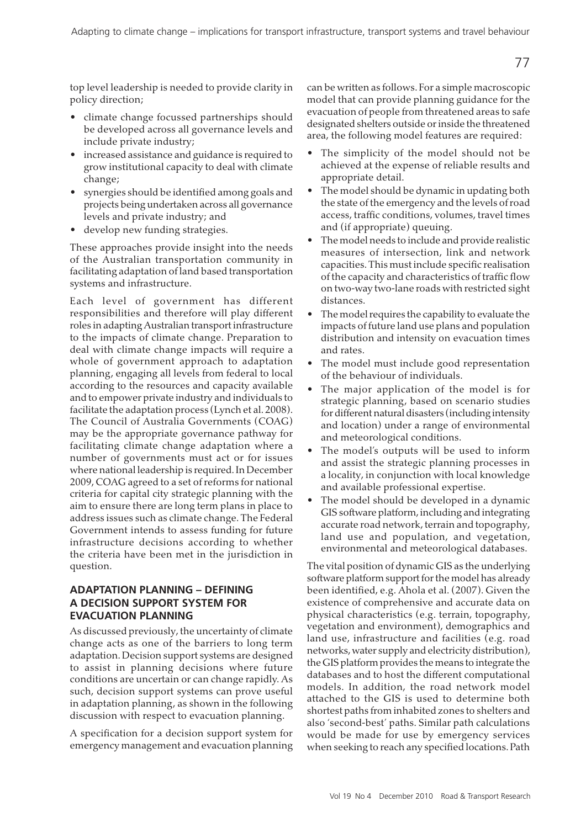top level leadership is needed to provide clarity in policy direction;

- climate change focussed partnerships should be developed across all governance levels and include private industry;
- increased assistance and guidance is required to grow institutional capacity to deal with climate change;
- synergies should be identified among goals and projects being undertaken across all governance levels and private industry; and
- develop new funding strategies.

These approaches provide insight into the needs of the Australian transportation community in facilitating adaptation of land based transportation systems and infrastructure.

Each level of government has different responsibilities and therefore will play different roles in adapting Australian transport infrastructure to the impacts of climate change. Preparation to deal with climate change impacts will require a whole of government approach to adaptation planning, engaging all levels from federal to local according to the resources and capacity available and to empower private industry and individuals to facilitate the adaptation process (Lynch et al. 2008). The Council of Australia Governments (COAG) may be the appropriate governance pathway for facilitating climate change adaptation where a number of governments must act or for issues where national leadership is required. In December 2009, COAG agreed to a set of reforms for national criteria for capital city strategic planning with the aim to ensure there are long term plans in place to address issues such as climate change. The Federal Government intends to assess funding for future infrastructure decisions according to whether the criteria have been met in the jurisdiction in question.

# **ADAPTATION PLANNING – DEFINING A DECISION SUPPORT SYSTEM FOR EVACUATION PLANNING**

As discussed previously, the uncertainty of climate change acts as one of the barriers to long term adaptation. Decision support systems are designed to assist in planning decisions where future conditions are uncertain or can change rapidly. As such, decision support systems can prove useful in adaptation planning, as shown in the following discussion with respect to evacuation planning.

A specification for a decision support system for emergency management and evacuation planning can be written as follows. For a simple macroscopic model that can provide planning guidance for the evacuation of people from threatened areas to safe designated shelters outside or inside the threatened area, the following model features are required:

77

- The simplicity of the model should not be achieved at the expense of reliable results and appropriate detail.
- The model should be dynamic in updating both the state of the emergency and the levels of road access, traffic conditions, volumes, travel times and (if appropriate) queuing.
- The model needs to include and provide realistic measures of intersection, link and network capacities. This must include specific realisation of the capacity and characteristics of traffic flow on two-way two-lane roads with restricted sight distances.
- The model requires the capability to evaluate the impacts of future land use plans and population distribution and intensity on evacuation times and rates.
- The model must include good representation of the behaviour of individuals.
- The major application of the model is for strategic planning, based on scenario studies for different natural disasters (including intensity and location) under a range of environmental and meteorological conditions.
- The model's outputs will be used to inform and assist the strategic planning processes in a locality, in conjunction with local knowledge and available professional expertise.
- The model should be developed in a dynamic GIS software platform, including and integrating accurate road network, terrain and topography, land use and population, and vegetation, environmental and meteorological databases.

The vital position of dynamic GIS as the underlying software platform support for the model has already been identified, e.g. Ahola et al. (2007). Given the existence of comprehensive and accurate data on physical characteristics (e.g. terrain, topography, vegetation and environment), demographics and land use, infrastructure and facilities (e.g. road networks, water supply and electricity distribution), the GIS platform provides the means to integrate the databases and to host the different computational models. In addition, the road network model attached to the GIS is used to determine both shortest paths from inhabited zones to shelters and also 'second-best' paths. Similar path calculations would be made for use by emergency services when seeking to reach any specified locations. Path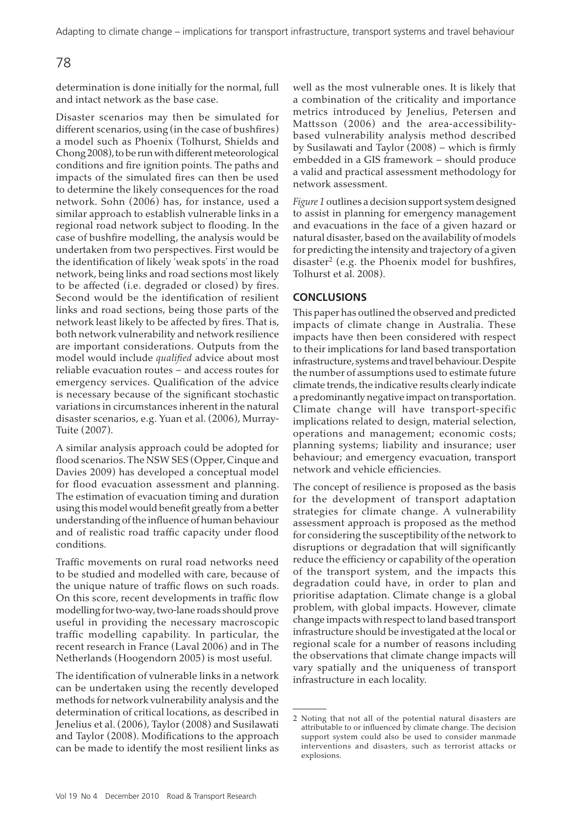# 78

determination is done initially for the normal, full and intact network as the base case.

Disaster scenarios may then be simulated for different scenarios, using (in the case of bushfires) a model such as Phoenix (Tolhurst, Shields and Chong 2008), to be run with different meteorological conditions and fire ignition points. The paths and impacts of the simulated fires can then be used to determine the likely consequences for the road network. Sohn (2006) has, for instance, used a similar approach to establish vulnerable links in a regional road network subject to flooding. In the case of bushfire modelling, the analysis would be undertaken from two perspectives. First would be the identification of likely 'weak spots' in the road network, being links and road sections most likely to be affected (i.e. degraded or closed) by fires. Second would be the identification of resilient links and road sections, being those parts of the network least likely to be affected by fires. That is, both network vulnerability and network resilience are important considerations. Outputs from the model would include *qualified* advice about most reliable evacuation routes – and access routes for emergency services. Qualification of the advice is necessary because of the significant stochastic variations in circumstances inherent in the natural disaster scenarios, e.g. Yuan et al. (2006), Murray-Tuite (2007).

A similar analysis approach could be adopted for flood scenarios. The NSW SES (Opper, Cinque and Davies 2009) has developed a conceptual model for flood evacuation assessment and planning. The estimation of evacuation timing and duration using this model would benefit greatly from a better understanding of the influence of human behaviour and of realistic road traffic capacity under flood conditions.

Traffic movements on rural road networks need to be studied and modelled with care, because of the unique nature of traffic flows on such roads. On this score, recent developments in traffic flow modelling for two-way, two-lane roads should prove useful in providing the necessary macroscopic traffic modelling capability. In particular, the recent research in France (Laval 2006) and in The Netherlands (Hoogendorn 2005) is most useful.

The identification of vulnerable links in a network can be undertaken using the recently developed methods for network vulnerability analysis and the determination of critical locations, as described in Jenelius et al. (2006), Taylor (2008) and Susilawati and Taylor (2008). Modifications to the approach can be made to identify the most resilient links as

well as the most vulnerable ones. It is likely that a combination of the criticality and importance metrics introduced by Jenelius, Petersen and Mattsson (2006) and the area-accessibilitybased vulnerability analysis method described by Susilawati and Taylor (2008) – which is firmly embedded in a GIS framework – should produce a valid and practical assessment methodology for network assessment.

*Figure 1* outlines a decision support system designed to assist in planning for emergency management and evacuations in the face of a given hazard or natural disaster, based on the availability of models for predicting the intensity and trajectory of a given disaster<sup>2</sup> (e.g. the Phoenix model for bushfires, Tolhurst et al. 2008).

#### **CONCLUSIONS**

This paper has outlined the observed and predicted impacts of climate change in Australia. These impacts have then been considered with respect to their implications for land based transportation infrastructure, systems and travel behaviour. Despite the number of assumptions used to estimate future climate trends, the indicative results clearly indicate a predominantly negative impact on transportation. Climate change will have transport-specific implications related to design, material selection, operations and management; economic costs; planning systems; liability and insurance; user behaviour; and emergency evacuation, transport network and vehicle efficiencies.

The concept of resilience is proposed as the basis for the development of transport adaptation strategies for climate change. A vulnerability assessment approach is proposed as the method for considering the susceptibility of the network to disruptions or degradation that will significantly reduce the efficiency or capability of the operation of the transport system, and the impacts this degradation could have, in order to plan and prioritise adaptation. Climate change is a global problem, with global impacts. However, climate change impacts with respect to land based transport infrastructure should be investigated at the local or regional scale for a number of reasons including the observations that climate change impacts will vary spatially and the uniqueness of transport infrastructure in each locality.

<sup>2</sup> Noting that not all of the potential natural disasters are attributable to or influenced by climate change. The decision support system could also be used to consider manmade interventions and disasters, such as terrorist attacks or explosions.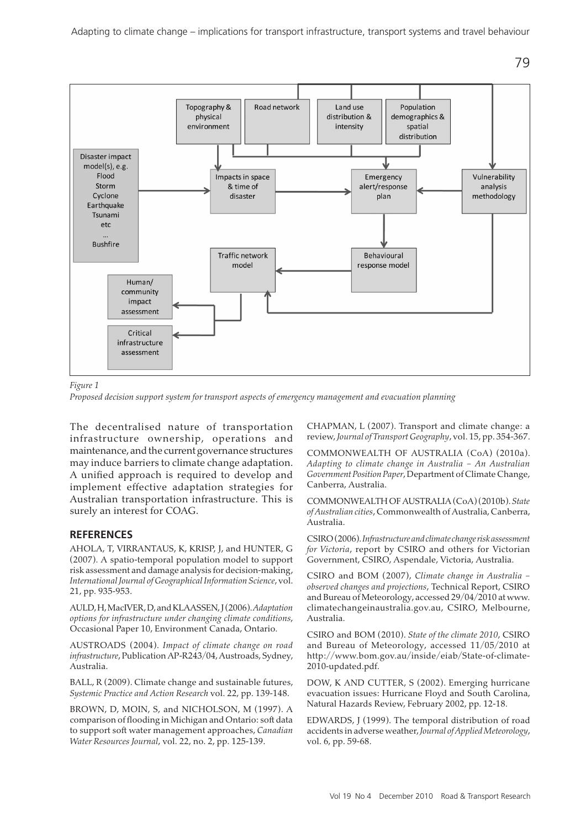



*Figure 1*

*Proposed decision support system for transport aspects of emergency management and evacuation planning*

The decentralised nature of transportation infrastructure ownership, operations and maintenance, and the current governance structures may induce barriers to climate change adaptation. A unified approach is required to develop and implement effective adaptation strategies for Australian transportation infrastructure. This is surely an interest for COAG.

#### **REFERENCES**

AHOLA, T, VIRRANTAUS, K, KRISP, J, and HUNTER, G (2007). A spatio-temporal population model to support risk assessment and damage analysis for decision-making, *International Journal of Geographical Information Science*, vol. 21, pp. 935-953.

AULD, H, MacIVER, D, and KLAASSEN, J (2006). *Adaptation options for infrastructure under changing climate conditions*, Occasional Paper 10, Environment Canada, Ontario.

AUSTROADS (2004). *Impact of climate change on road infrastructure*, Publication AP-R243/04, Austroads, Sydney, Australia.

BALL, R (2009). Climate change and sustainable futures, *Systemic Practice and Action Research* vol. 22, pp. 139-148.

BROWN, D, MOIN, S, and NICHOLSON, M (1997). A comparison of flooding in Michigan and Ontario: soft data to support soft water management approaches, *Canadian Water Resources Journal*, vol. 22, no. 2, pp. 125-139.

CHAPMAN, L (2007). Transport and climate change: a review, *Journal of Transport Geography*, vol. 15, pp. 354-367.

COMMONWEALTH OF AUSTRALIA (CoA) (2010a). *Adapting to climate change in Australia – An Australian Government Position Paper*, Department of Climate Change, Canberra, Australia.

COMMONWEALTH OF AUSTRALIA (CoA) (2010b). *State of Australian cities*, Commonwealth of Australia, Canberra, Australia.

CSIRO (2006). *Infrastructure and climate change risk assessment for Victoria*, report by CSIRO and others for Victorian Government, CSIRO, Aspendale, Victoria, Australia.

CSIRO and BOM (2007), *Climate change in Australia – observed changes and projections*, Technical Report, CSIRO and Bureau of Meteorology, accessed 29/04/2010 at www. climatechangeinaustralia.gov.au, CSIRO, Melbourne, Australia.

CSIRO and BOM (2010). *State of the climate 2010*, CSIRO and Bureau of Meteorology, accessed 11/05/2010 at http://www.bom.gov.au/inside/eiab/State-of-climate-2010-updated.pdf.

DOW, K AND CUTTER, S (2002). Emerging hurricane evacuation issues: Hurricane Floyd and South Carolina, Natural Hazards Review, February 2002, pp. 12-18.

EDWARDS, J (1999). The temporal distribution of road accidents in adverse weather, *Journal of Applied Meteorology*, vol. 6, pp. 59-68.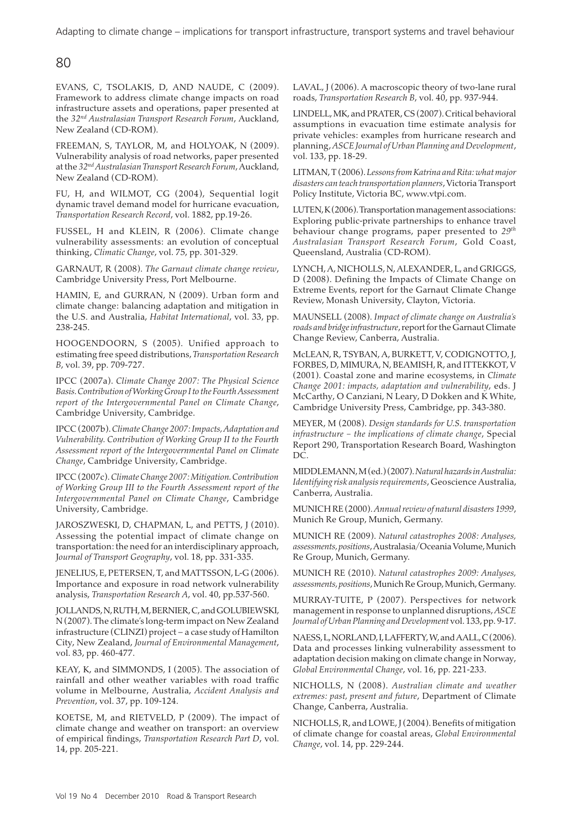EVANS, C, TSOLAKIS, D, AND NAUDE, C (2009). Framework to address climate change impacts on road infrastructure assets and operations, paper presented at the *32nd Australasian Transport Research Forum*, Auckland, New Zealand (CD-ROM).

FREEMAN, S, TAYLOR, M, and HOLYOAK, N (2009). Vulnerability analysis of road networks, paper presented at the *32nd Australasian Transport Research Forum*, Auckland, New Zealand (CD-ROM).

FU, H, and WILMOT, CG (2004), Sequential logit dynamic travel demand model for hurricane evacuation, *Transportation Research Record*, vol. 1882, pp.19-26.

FUSSEL, H and KLEIN, R (2006). Climate change vulnerability assessments: an evolution of conceptual thinking, *Climatic Change*, vol. 75, pp. 301-329.

GARNAUT, R (2008). *The Garnaut climate change review*, Cambridge University Press, Port Melbourne.

HAMIN, E, and GURRAN, N (2009). Urban form and climate change: balancing adaptation and mitigation in the U.S. and Australia, *Habitat International*, vol. 33, pp. 238-245.

HOOGENDOORN, S (2005). Unified approach to estimating free speed distributions, *Transportation Research B*, vol. 39, pp. 709-727.

IPCC (2007a). *Climate Change 2007: The Physical Science Basis. Contribution of Working Group I to the Fourth Assessment report of the Intergovernmental Panel on Climate Change*, Cambridge University, Cambridge.

IPCC (2007b). *Climate Change 2007: Impacts, Adaptation and Vulnerability. Contribution of Working Group II to the Fourth Assessment report of the Intergovernmental Panel on Climate Change*, Cambridge University, Cambridge.

IPCC (2007c). *Climate Change 2007: Mitigation. Contribution of Working Group III to the Fourth Assessment report of the Intergovernmental Panel on Climate Change*, Cambridge University, Cambridge.

JAROSZWESKI, D, CHAPMAN, L, and PETTS, J (2010). Assessing the potential impact of climate change on transportation: the need for an interdisciplinary approach, J*ournal of Transport Geography*, vol. 18, pp. 331-335.

JENELIUS, E, PETERSEN, T, and MATTSSON, L-G (2006). Importance and exposure in road network vulnerability analysis, *Transportation Research A*, vol. 40, pp.537-560.

JOLLANDS, N, RUTH, M, BERNIER, C, and GOLUBIEWSKI, N (2007). The climate's long-term impact on New Zealand infrastructure (CLINZI) project – a case study of Hamilton City, New Zealand, *Journal of Environmental Management*, vol. 83, pp. 460-477.

KEAY, K, and SIMMONDS, I (2005). The association of rainfall and other weather variables with road traffic volume in Melbourne, Australia, *Accident Analysis and Prevention*, vol. 37, pp. 109-124.

KOETSE, M, and RIETVELD, P (2009). The impact of climate change and weather on transport: an overview of empirical findings, *Transportation Research Part D*, vol. 14, pp. 205-221.

LAVAL, J (2006). A macroscopic theory of two-lane rural roads, *Transportation Research B*, vol. 40, pp. 937-944.

LINDELL, MK, and PRATER, CS (2007). Critical behavioral assumptions in evacuation time estimate analysis for private vehicles: examples from hurricane research and planning, *ASCE Journal of Urban Planning and Development*, vol. 133, pp. 18-29.

LITMAN, T (2006). *Lessons from Katrina and Rita: what major disasters can teach transportation planners*, Victoria Transport Policy Institute, Victoria BC, www.vtpi.com.

LUTEN, K (2006). Transportation management associations: Exploring public-private partnerships to enhance travel behaviour change programs, paper presented to *29th Australasian Transport Research Forum*, Gold Coast, Queensland, Australia (CD-ROM).

LYNCH, A, NICHOLLS, N, ALEXANDER, L, and GRIGGS, D (2008). Defining the Impacts of Climate Change on Extreme Events, report for the Garnaut Climate Change Review, Monash University, Clayton, Victoria.

MAUNSELL (2008). *Impact of climate change on Australia's roads and bridge infrastructure*, report for the Garnaut Climate Change Review, Canberra, Australia.

McLEAN, R, TSYBAN, A, BURKETT, V, CODIGNOTTO, J, FORBES, D, MIMURA, N, BEAMISH, R, and ITTEKKOT, V (2001). Coastal zone and marine ecosystems, in *Climate Change 2001: impacts, adaptation and vulnerability*, eds. J McCarthy, O Canziani, N Leary, D Dokken and K White, Cambridge University Press, Cambridge, pp. 343-380.

MEYER, M (2008). *Design standards for U.S. transportation infrastructure – the implications of climate change*, Special Report 290, Transportation Research Board, Washington  $DC$ 

MIDDLEMANN, M (ed.) (2007). *Natural hazards in Australia: Identifying risk analysis requirements*, Geoscience Australia, Canberra, Australia.

MUNICH RE (2000). *Annual review of natural disasters 1999*, Munich Re Group, Munich, Germany.

MUNICH RE (2009). *Natural catastrophes 2008: Analyses, assessments, positions*, Australasia/Oceania Volume, Munich Re Group, Munich, Germany.

MUNICH RE (2010). *Natural catastrophes 2009: Analyses, assessments, positions*, Munich Re Group, Munich, Germany.

MURRAY-TUITE, P (2007). Perspectives for network management in response to unplanned disruptions, *ASCE Journal of Urban Planning and Development* vol. 133, pp. 9-17.

NAESS, L, NORLAND, I, LAFFERTY, W, and AALL, C (2006). Data and processes linking vulnerability assessment to adaptation decision making on climate change in Norway, *Global Environmental Change*, vol. 16, pp. 221-233.

NICHOLLS, N (2008). *Australian climate and weather extremes: past, present and future*, Department of Climate Change, Canberra, Australia.

NICHOLLS, R, and LOWE, J (2004). Benefits of mitigation of climate change for coastal areas, *Global Environmental Change*, vol. 14, pp. 229-244.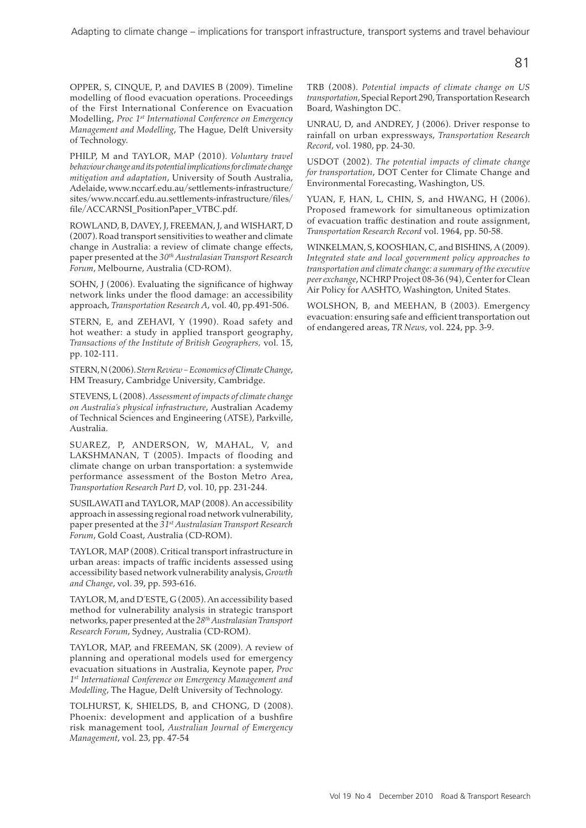OPPER, S, CINQUE, P, and DAVIES B (2009). Timeline modelling of flood evacuation operations. Proceedings of the First International Conference on Evacuation Modelling, *Proc 1st International Conference on Emergency Management and Modelling*, The Hague, Delft University of Technology.

PHILP, M and TAYLOR, MAP (2010). *Voluntary travel behaviour change and its potential implications for climate change mitigation and adaptation*, University of South Australia, Adelaide, www.nccarf.edu.au/settlements-infrastructure/ sites/www.nccarf.edu.au.settlements-infrastructure/files/ file/ACCARNSI\_PositionPaper\_VTBC.pdf.

ROWLAND, B, DAVEY, J, FREEMAN, J, and WISHART, D (2007). Road transport sensitivities to weather and climate change in Australia: a review of climate change effects, paper presented at the *30th Australasian Transport Research Forum*, Melbourne, Australia (CD-ROM).

SOHN, J (2006). Evaluating the significance of highway network links under the flood damage: an accessibility approach, *Transportation Research A*, vol. 40, pp.491-506.

STERN, E, and ZEHAVI, Y (1990). Road safety and hot weather: a study in applied transport geography, *Transactions of the Institute of British Geographers,* vol. 15, pp. 102-111.

STERN, N (2006). *Stern Review – Economics of Climate Change*, HM Treasury, Cambridge University, Cambridge.

STEVENS, L (2008). *Assessment of impacts of climate change on Australia's physical infrastructure*, Australian Academy of Technical Sciences and Engineering (ATSE), Parkville, Australia.

SUAREZ, P, ANDERSON, W, MAHAL, V, and LAKSHMANAN, T (2005). Impacts of flooding and climate change on urban transportation: a systemwide performance assessment of the Boston Metro Area, *Transportation Research Part D*, vol. 10, pp. 231-244.

SUSILAWATI and TAYLOR, MAP (2008). An accessibility approach in assessing regional road network vulnerability, paper presented at the *31st Australasian Transport Research Forum*, Gold Coast, Australia (CD-ROM).

TAYLOR, MAP (2008). Critical transport infrastructure in urban areas: impacts of traffic incidents assessed using accessibility based network vulnerability analysis, *Growth and Change*, vol. 39, pp. 593-616.

TAYLOR, M, and D'ESTE, G (2005). An accessibility based method for vulnerability analysis in strategic transport networks, paper presented at the *28th Australasian Transport Research Forum*, Sydney, Australia (CD-ROM).

TAYLOR, MAP, and FREEMAN, SK (2009). A review of planning and operational models used for emergency evacuation situations in Australia, Keynote paper, *Proc 1st International Conference on Emergency Management and Modelling*, The Hague, Delft University of Technology.

TOLHURST, K, SHIELDS, B, and CHONG, D (2008). Phoenix: development and application of a bushfire risk management tool, *Australian Journal of Emergency Management*, vol. 23, pp. 47-54

TRB (2008). *Potential impacts of climate change on US transportation*, Special Report 290, Transportation Research Board, Washington DC.

81

UNRAU, D, and ANDREY, J (2006). Driver response to rainfall on urban expressways, *Transportation Research Record*, vol. 1980, pp. 24-30.

USDOT (2002). *The potential impacts of climate change for transportation*, DOT Center for Climate Change and Environmental Forecasting, Washington, US.

YUAN, F, HAN, L, CHIN, S, and HWANG, H (2006). Proposed framework for simultaneous optimization of evacuation traffic destination and route assignment, *Transportation Research Record* vol. 1964, pp. 50-58.

WINKELMAN, S, KOOSHIAN, C, and BISHINS, A (2009). *Integrated state and local government policy approaches to transportation and climate change: a summary of the executive peer exchange*, NCHRP Project 08-36 (94), Center for Clean Air Policy for AASHTO, Washington, United States.

WOLSHON, B, and MEEHAN, B (2003). Emergency evacuation: ensuring safe and efficient transportation out of endangered areas, *TR News*, vol. 224, pp. 3-9.